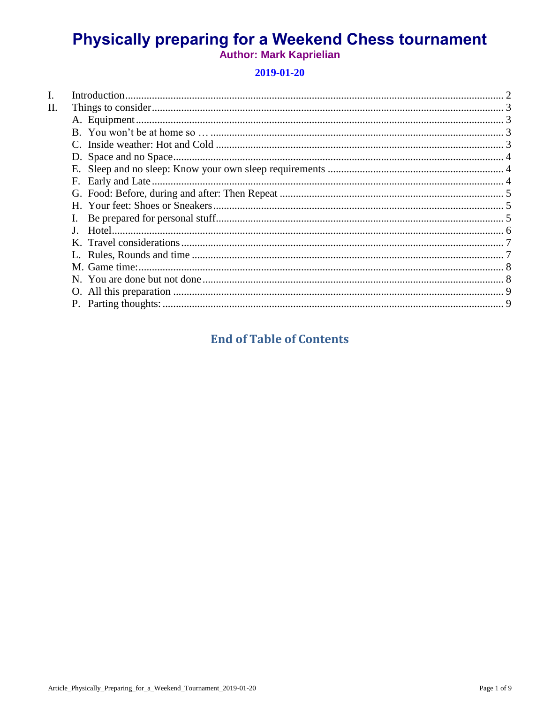# **Physically preparing for a Weekend Chess tournament Author: Mark Kaprielian**

# 2019-01-20

| П. |    |  |
|----|----|--|
|    |    |  |
|    |    |  |
|    |    |  |
|    |    |  |
|    |    |  |
|    |    |  |
|    |    |  |
|    |    |  |
|    | I. |  |
|    |    |  |
|    |    |  |
|    |    |  |
|    |    |  |
|    |    |  |
|    |    |  |
|    |    |  |
|    |    |  |

# **End of Table of Contents**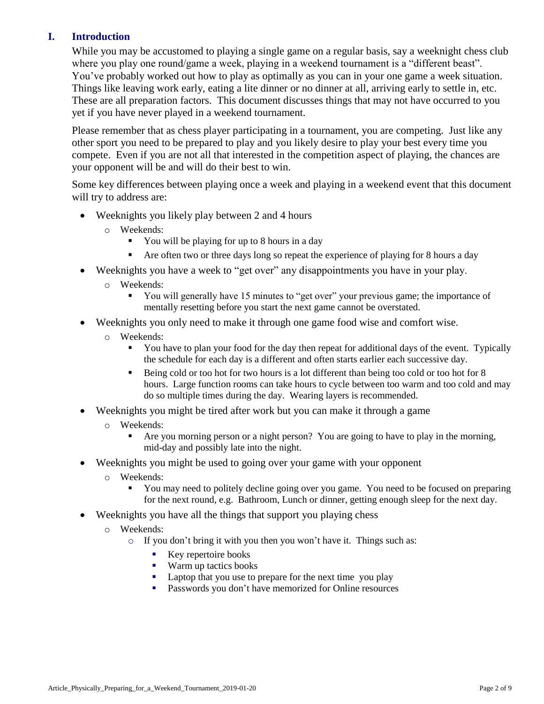# <span id="page-1-0"></span>**I. Introduction**

While you may be accustomed to playing a single game on a regular basis, say a weeknight chess club where you play one round/game a week, playing in a weekend tournament is a "different beast". You've probably worked out how to play as optimally as you can in your one game a week situation. Things like leaving work early, eating a lite dinner or no dinner at all, arriving early to settle in, etc. These are all preparation factors. This document discusses things that may not have occurred to you yet if you have never played in a weekend tournament.

Please remember that as chess player participating in a tournament, you are competing. Just like any other sport you need to be prepared to play and you likely desire to play your best every time you compete. Even if you are not all that interested in the competition aspect of playing, the chances are your opponent will be and will do their best to win.

Some key differences between playing once a week and playing in a weekend event that this document will try to address are:

- Weeknights you likely play between 2 and 4 hours
	- o Weekends:
		- You will be playing for up to 8 hours in a day
		- Are often two or three days long so repeat the experience of playing for 8 hours a day
- Weeknights you have a week to "get over" any disappointments you have in your play.
	- o Weekends:
		- You will generally have 15 minutes to "get over" your previous game; the importance of mentally resetting before you start the next game cannot be overstated.
- Weeknights you only need to make it through one game food wise and comfort wise.
	- o Weekends:
		- You have to plan your food for the day then repeat for additional days of the event. Typically the schedule for each day is a different and often starts earlier each successive day.
		- Being cold or too hot for two hours is a lot different than being too cold or too hot for 8 hours. Large function rooms can take hours to cycle between too warm and too cold and may do so multiple times during the day. Wearing layers is recommended.
- Weeknights you might be tired after work but you can make it through a game
	- o Weekends:
		- Are you morning person or a night person? You are going to have to play in the morning, mid-day and possibly late into the night.
- Weeknights you might be used to going over your game with your opponent
	- o Weekends:
		- You may need to politely decline going over you game. You need to be focused on preparing for the next round, e.g. Bathroom, Lunch or dinner, getting enough sleep for the next day.
- Weeknights you have all the things that support you playing chess
	- o Weekends:
		- o If you don't bring it with you then you won't have it. Things such as:
			- Key repertoire books
			- Warm up tactics books
			- Laptop that you use to prepare for the next time you play
			- **Passwords you don't have memorized for Online resources**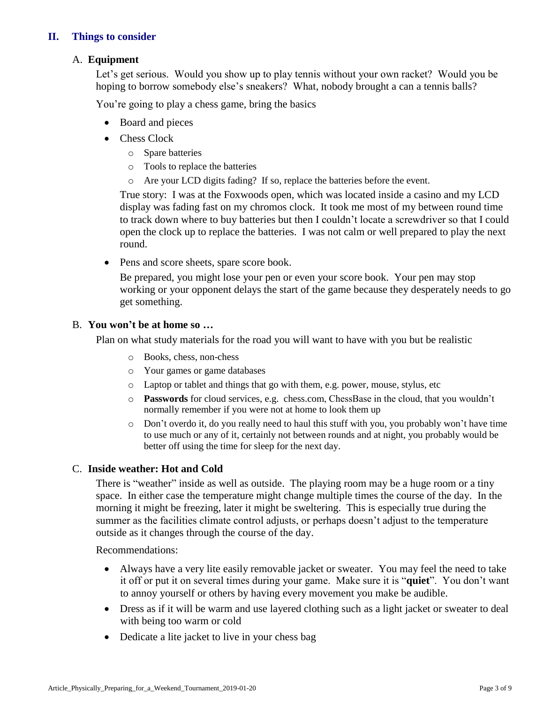# <span id="page-2-1"></span><span id="page-2-0"></span>**II. Things to consider**

#### A. **Equipment**

Let's get serious. Would you show up to play tennis without your own racket? Would you be hoping to borrow somebody else's sneakers? What, nobody brought a can a tennis balls?

You're going to play a chess game, bring the basics

- Board and pieces
- Chess Clock
	- o Spare batteries
	- o Tools to replace the batteries
	- o Are your LCD digits fading? If so, replace the batteries before the event.

True story: I was at the Foxwoods open, which was located inside a casino and my LCD display was fading fast on my chromos clock. It took me most of my between round time to track down where to buy batteries but then I couldn't locate a screwdriver so that I could open the clock up to replace the batteries. I was not calm or well prepared to play the next round.

Pens and score sheets, spare score book.

Be prepared, you might lose your pen or even your score book. Your pen may stop working or your opponent delays the start of the game because they desperately needs to go get something.

#### <span id="page-2-2"></span>B. **You won't be at home so …**

Plan on what study materials for the road you will want to have with you but be realistic

- o Books, chess, non-chess
- o Your games or game databases
- o Laptop or tablet and things that go with them, e.g. power, mouse, stylus, etc
- o **Passwords** for cloud services, e.g. chess.com, ChessBase in the cloud, that you wouldn't normally remember if you were not at home to look them up
- $\circ$  Don't overdo it, do you really need to haul this stuff with you, you probably won't have time to use much or any of it, certainly not between rounds and at night, you probably would be better off using the time for sleep for the next day.

# <span id="page-2-3"></span>C. **Inside weather: Hot and Cold**

There is "weather" inside as well as outside. The playing room may be a huge room or a tiny space. In either case the temperature might change multiple times the course of the day. In the morning it might be freezing, later it might be sweltering. This is especially true during the summer as the facilities climate control adjusts, or perhaps doesn't adjust to the temperature outside as it changes through the course of the day.

Recommendations:

- Always have a very lite easily removable jacket or sweater. You may feel the need to take it off or put it on several times during your game. Make sure it is "**quiet**". You don't want to annoy yourself or others by having every movement you make be audible.
- Dress as if it will be warm and use layered clothing such as a light jacket or sweater to deal with being too warm or cold
- Dedicate a lite jacket to live in your chess bag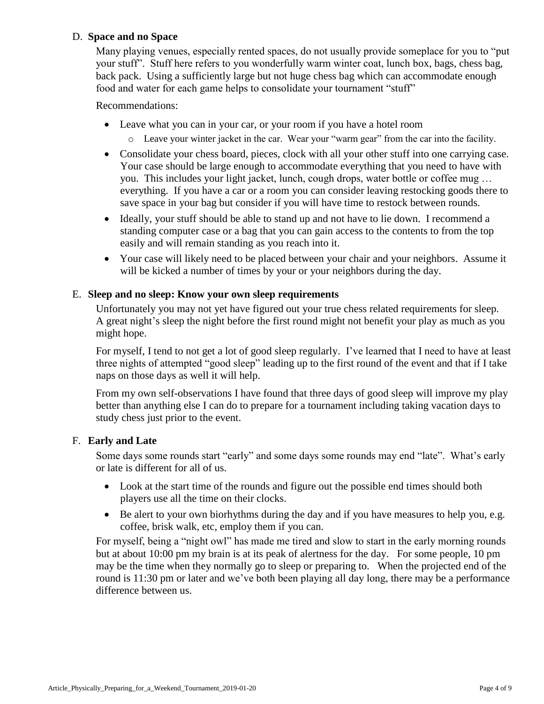# <span id="page-3-0"></span>D. **Space and no Space**

Many playing venues, especially rented spaces, do not usually provide someplace for you to "put your stuff". Stuff here refers to you wonderfully warm winter coat, lunch box, bags, chess bag, back pack. Using a sufficiently large but not huge chess bag which can accommodate enough food and water for each game helps to consolidate your tournament "stuff"

Recommendations:

- Leave what you can in your car, or your room if you have a hotel room
	- o Leave your winter jacket in the car. Wear your "warm gear" from the car into the facility.
- Consolidate your chess board, pieces, clock with all your other stuff into one carrying case. Your case should be large enough to accommodate everything that you need to have with you. This includes your light jacket, lunch, cough drops, water bottle or coffee mug … everything. If you have a car or a room you can consider leaving restocking goods there to save space in your bag but consider if you will have time to restock between rounds.
- Ideally, your stuff should be able to stand up and not have to lie down. I recommend a standing computer case or a bag that you can gain access to the contents to from the top easily and will remain standing as you reach into it.
- Your case will likely need to be placed between your chair and your neighbors. Assume it will be kicked a number of times by your or your neighbors during the day.

# <span id="page-3-1"></span>E. **Sleep and no sleep: Know your own sleep requirements**

Unfortunately you may not yet have figured out your true chess related requirements for sleep. A great night's sleep the night before the first round might not benefit your play as much as you might hope.

For myself, I tend to not get a lot of good sleep regularly. I've learned that I need to have at least three nights of attempted "good sleep" leading up to the first round of the event and that if I take naps on those days as well it will help.

From my own self-observations I have found that three days of good sleep will improve my play better than anything else I can do to prepare for a tournament including taking vacation days to study chess just prior to the event.

#### <span id="page-3-2"></span>F. **Early and Late**

Some days some rounds start "early" and some days some rounds may end "late". What's early or late is different for all of us.

- Look at the start time of the rounds and figure out the possible end times should both players use all the time on their clocks.
- Be alert to your own biorhythms during the day and if you have measures to help you, e.g. coffee, brisk walk, etc, employ them if you can.

For myself, being a "night owl" has made me tired and slow to start in the early morning rounds but at about 10:00 pm my brain is at its peak of alertness for the day. For some people, 10 pm may be the time when they normally go to sleep or preparing to. When the projected end of the round is 11:30 pm or later and we've both been playing all day long, there may be a performance difference between us.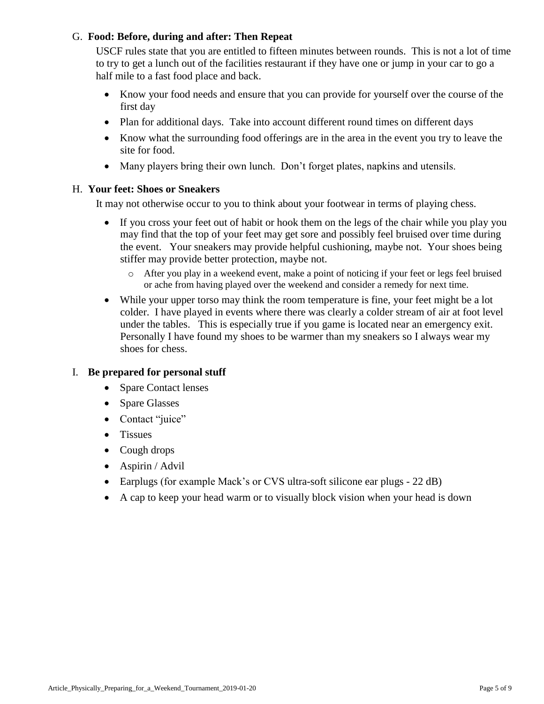# <span id="page-4-0"></span>G. **Food: Before, during and after: Then Repeat**

USCF rules state that you are entitled to fifteen minutes between rounds. This is not a lot of time to try to get a lunch out of the facilities restaurant if they have one or jump in your car to go a half mile to a fast food place and back.

- Know your food needs and ensure that you can provide for yourself over the course of the first day
- Plan for additional days. Take into account different round times on different days
- Know what the surrounding food offerings are in the area in the event you try to leave the site for food.
- Many players bring their own lunch. Don't forget plates, napkins and utensils.

# <span id="page-4-1"></span>H. **Your feet: Shoes or Sneakers**

It may not otherwise occur to you to think about your footwear in terms of playing chess.

- If you cross your feet out of habit or hook them on the legs of the chair while you play you may find that the top of your feet may get sore and possibly feel bruised over time during the event. Your sneakers may provide helpful cushioning, maybe not. Your shoes being stiffer may provide better protection, maybe not.
	- o After you play in a weekend event, make a point of noticing if your feet or legs feel bruised or ache from having played over the weekend and consider a remedy for next time.
- While your upper torso may think the room temperature is fine, your feet might be a lot colder. I have played in events where there was clearly a colder stream of air at foot level under the tables. This is especially true if you game is located near an emergency exit. Personally I have found my shoes to be warmer than my sneakers so I always wear my shoes for chess.

# <span id="page-4-2"></span>I. **Be prepared for personal stuff**

- Spare Contact lenses
- Spare Glasses
- Contact "juice"
- Tissues
- Cough drops
- Aspirin / Advil
- Earplugs (for example Mack's or CVS ultra-soft silicone ear plugs 22 dB)
- A cap to keep your head warm or to visually block vision when your head is down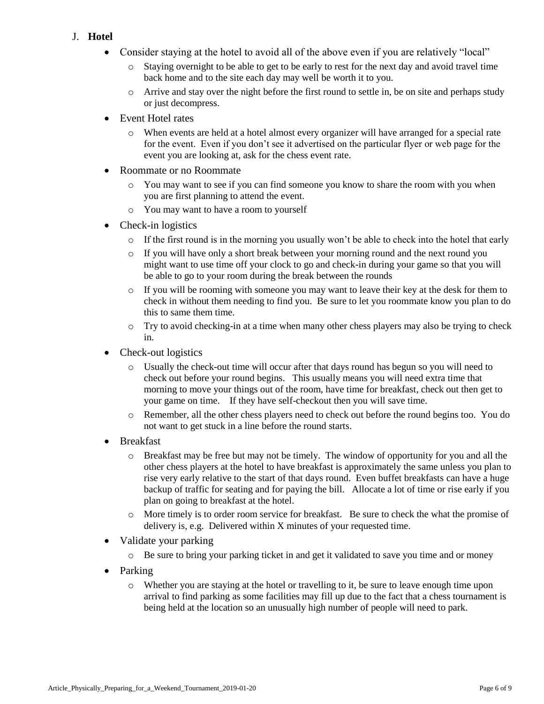- <span id="page-5-0"></span>J. **Hotel**
	- Consider staying at the hotel to avoid all of the above even if you are relatively "local"
		- $\circ$  Staying overnight to be able to get to be early to rest for the next day and avoid travel time back home and to the site each day may well be worth it to you.
		- o Arrive and stay over the night before the first round to settle in, be on site and perhaps study or just decompress.
	- Event Hotel rates
		- o When events are held at a hotel almost every organizer will have arranged for a special rate for the event. Even if you don't see it advertised on the particular flyer or web page for the event you are looking at, ask for the chess event rate.
	- Roommate or no Roommate
		- o You may want to see if you can find someone you know to share the room with you when you are first planning to attend the event.
		- o You may want to have a room to yourself
	- Check-in logistics
		- $\circ$  If the first round is in the morning you usually won't be able to check into the hotel that early
		- o If you will have only a short break between your morning round and the next round you might want to use time off your clock to go and check-in during your game so that you will be able to go to your room during the break between the rounds
		- $\circ$  If you will be rooming with someone you may want to leave their key at the desk for them to check in without them needing to find you. Be sure to let you roommate know you plan to do this to same them time.
		- o Try to avoid checking-in at a time when many other chess players may also be trying to check in.
	- Check-out logistics
		- o Usually the check-out time will occur after that days round has begun so you will need to check out before your round begins. This usually means you will need extra time that morning to move your things out of the room, have time for breakfast, check out then get to your game on time. If they have self-checkout then you will save time.
		- o Remember, all the other chess players need to check out before the round begins too. You do not want to get stuck in a line before the round starts.
	- Breakfast
		- o Breakfast may be free but may not be timely. The window of opportunity for you and all the other chess players at the hotel to have breakfast is approximately the same unless you plan to rise very early relative to the start of that days round. Even buffet breakfasts can have a huge backup of traffic for seating and for paying the bill. Allocate a lot of time or rise early if you plan on going to breakfast at the hotel.
		- o More timely is to order room service for breakfast. Be sure to check the what the promise of delivery is, e.g. Delivered within X minutes of your requested time.
	- Validate your parking
		- o Be sure to bring your parking ticket in and get it validated to save you time and or money
	- Parking
		- o Whether you are staying at the hotel or travelling to it, be sure to leave enough time upon arrival to find parking as some facilities may fill up due to the fact that a chess tournament is being held at the location so an unusually high number of people will need to park.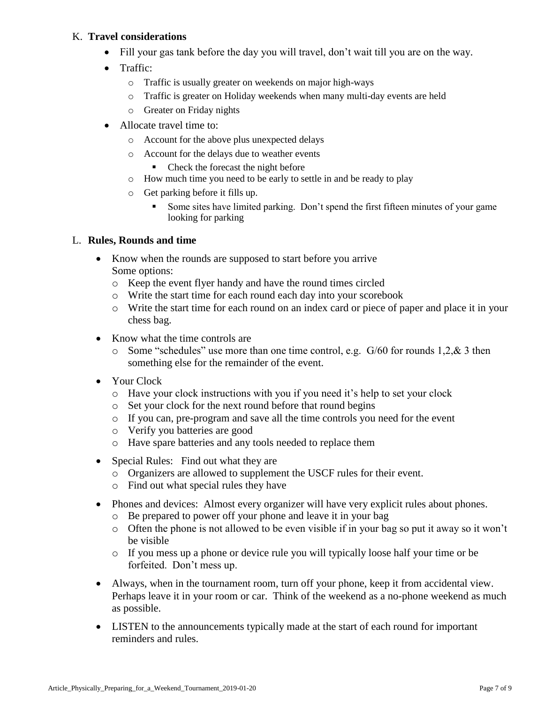# <span id="page-6-0"></span>K. **Travel considerations**

- Fill your gas tank before the day you will travel, don't wait till you are on the way.
- Traffic:
	- o Traffic is usually greater on weekends on major high-ways
	- o Traffic is greater on Holiday weekends when many multi-day events are held
	- o Greater on Friday nights
- Allocate travel time to:
	- o Account for the above plus unexpected delays
	- o Account for the delays due to weather events
		- Check the forecast the night before
	- o How much time you need to be early to settle in and be ready to play
	- o Get parking before it fills up.
		- Some sites have limited parking. Don't spend the first fifteen minutes of your game looking for parking

# <span id="page-6-1"></span>L. **Rules, Rounds and time**

- Know when the rounds are supposed to start before you arrive Some options:
	- o Keep the event flyer handy and have the round times circled
	- o Write the start time for each round each day into your scorebook
	- o Write the start time for each round on an index card or piece of paper and place it in your chess bag.
- Know what the time controls are
	- o Some "schedules" use more than one time control, e.g. G/60 for rounds 1,2,& 3 then something else for the remainder of the event.
- Your Clock
	- o Have your clock instructions with you if you need it's help to set your clock
	- o Set your clock for the next round before that round begins
	- o If you can, pre-program and save all the time controls you need for the event
	- o Verify you batteries are good
	- o Have spare batteries and any tools needed to replace them
- Special Rules: Find out what they are
	- o Organizers are allowed to supplement the USCF rules for their event.
	- o Find out what special rules they have
- Phones and devices: Almost every organizer will have very explicit rules about phones.
	- o Be prepared to power off your phone and leave it in your bag
	- o Often the phone is not allowed to be even visible if in your bag so put it away so it won't be visible
	- o If you mess up a phone or device rule you will typically loose half your time or be forfeited. Don't mess up.
- Always, when in the tournament room, turn off your phone, keep it from accidental view. Perhaps leave it in your room or car. Think of the weekend as a no-phone weekend as much as possible.
- LISTEN to the announcements typically made at the start of each round for important reminders and rules.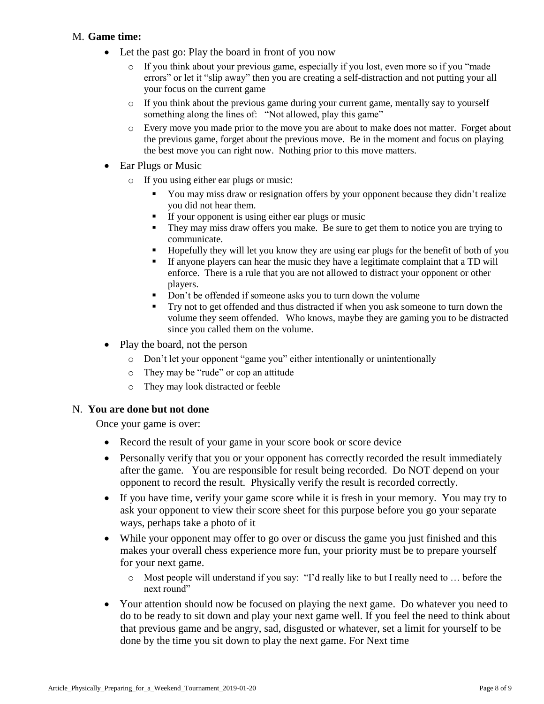# <span id="page-7-0"></span>M. **Game time:**

- Let the past go: Play the board in front of you now
	- o If you think about your previous game, especially if you lost, even more so if you "made errors" or let it "slip away" then you are creating a self-distraction and not putting your all your focus on the current game
	- o If you think about the previous game during your current game, mentally say to yourself something along the lines of: "Not allowed, play this game"
	- o Every move you made prior to the move you are about to make does not matter. Forget about the previous game, forget about the previous move. Be in the moment and focus on playing the best move you can right now. Nothing prior to this move matters.
- Ear Plugs or Music
	- o If you using either ear plugs or music:
		- You may miss draw or resignation offers by your opponent because they didn't realize you did not hear them.
		- If your opponent is using either ear plugs or music
		- They may miss draw offers you make. Be sure to get them to notice you are trying to communicate.
		- Hopefully they will let you know they are using ear plugs for the benefit of both of you
		- If anyone players can hear the music they have a legitimate complaint that a TD will enforce. There is a rule that you are not allowed to distract your opponent or other players.
		- Don't be offended if someone asks you to turn down the volume
		- Try not to get offended and thus distracted if when you ask someone to turn down the volume they seem offended. Who knows, maybe they are gaming you to be distracted since you called them on the volume.
- Play the board, not the person
	- o Don't let your opponent "game you" either intentionally or unintentionally
	- o They may be "rude" or cop an attitude
	- o They may look distracted or feeble

#### <span id="page-7-1"></span>N. **You are done but not done**

Once your game is over:

- Record the result of your game in your score book or score device
- Personally verify that you or your opponent has correctly recorded the result immediately after the game. You are responsible for result being recorded. Do NOT depend on your opponent to record the result. Physically verify the result is recorded correctly.
- If you have time, verify your game score while it is fresh in your memory. You may try to ask your opponent to view their score sheet for this purpose before you go your separate ways, perhaps take a photo of it
- While your opponent may offer to go over or discuss the game you just finished and this makes your overall chess experience more fun, your priority must be to prepare yourself for your next game.
	- o Most people will understand if you say: "I'd really like to but I really need to … before the next round"
- Your attention should now be focused on playing the next game. Do whatever you need to do to be ready to sit down and play your next game well. If you feel the need to think about that previous game and be angry, sad, disgusted or whatever, set a limit for yourself to be done by the time you sit down to play the next game. For Next time